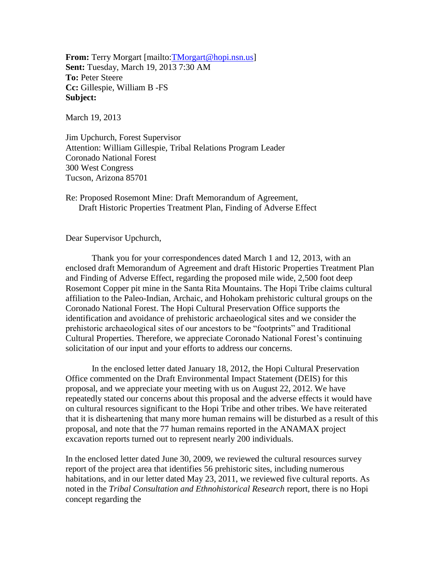**From:** Terry Morgart [mailto: **TMorgart** @hopi.nsn.us] **Sent:** Tuesday, March 19, 2013 7:30 AM **To:** Peter Steere **Cc:** Gillespie, William B -FS **Subject:**

March 19, 2013

Jim Upchurch, Forest Supervisor Attention: William Gillespie, Tribal Relations Program Leader Coronado National Forest 300 West Congress Tucson, Arizona 85701

Re: Proposed Rosemont Mine: Draft Memorandum of Agreement, Draft Historic Properties Treatment Plan, Finding of Adverse Effect

Dear Supervisor Upchurch,

 Thank you for your correspondences dated March 1 and 12, 2013, with an enclosed draft Memorandum of Agreement and draft Historic Properties Treatment Plan and Finding of Adverse Effect, regarding the proposed mile wide, 2,500 foot deep Rosemont Copper pit mine in the Santa Rita Mountains. The Hopi Tribe claims cultural affiliation to the Paleo-Indian, Archaic, and Hohokam prehistoric cultural groups on the Coronado National Forest. The Hopi Cultural Preservation Office supports the identification and avoidance of prehistoric archaeological sites and we consider the prehistoric archaeological sites of our ancestors to be "footprints" and Traditional Cultural Properties. Therefore, we appreciate Coronado National Forest's continuing solicitation of our input and your efforts to address our concerns.

 In the enclosed letter dated January 18, 2012, the Hopi Cultural Preservation Office commented on the Draft Environmental Impact Statement (DEIS) for this proposal, and we appreciate your meeting with us on August 22, 2012. We have repeatedly stated our concerns about this proposal and the adverse effects it would have on cultural resources significant to the Hopi Tribe and other tribes. We have reiterated that it is disheartening that many more human remains will be disturbed as a result of this proposal, and note that the 77 human remains reported in the ANAMAX project excavation reports turned out to represent nearly 200 individuals.

In the enclosed letter dated June 30, 2009, we reviewed the cultural resources survey report of the project area that identifies 56 prehistoric sites, including numerous habitations, and in our letter dated May 23, 2011, we reviewed five cultural reports. As noted in the *Tribal Consultation and Ethnohistorical Research* report, there is no Hopi concept regarding the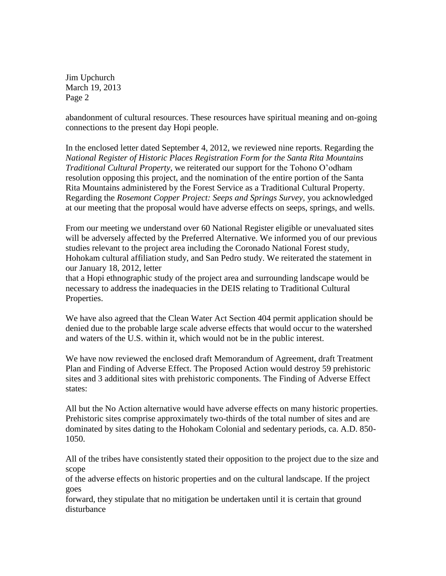Jim Upchurch March 19, 2013 Page 2

abandonment of cultural resources. These resources have spiritual meaning and on-going connections to the present day Hopi people.

In the enclosed letter dated September 4, 2012, we reviewed nine reports. Regarding the *National Register of Historic Places Registration Form for the Santa Rita Mountains Traditional Cultural Property,* we reiterated our support for the Tohono O'odham resolution opposing this project, and the nomination of the entire portion of the Santa Rita Mountains administered by the Forest Service as a Traditional Cultural Property. Regarding the *Rosemont Copper Project: Seeps and Springs Survey,* you acknowledged at our meeting that the proposal would have adverse effects on seeps, springs, and wells.

From our meeting we understand over 60 National Register eligible or unevaluated sites will be adversely affected by the Preferred Alternative. We informed you of our previous studies relevant to the project area including the Coronado National Forest study, Hohokam cultural affiliation study, and San Pedro study. We reiterated the statement in our January 18, 2012, letter

that a Hopi ethnographic study of the project area and surrounding landscape would be necessary to address the inadequacies in the DEIS relating to Traditional Cultural Properties.

We have also agreed that the Clean Water Act Section 404 permit application should be denied due to the probable large scale adverse effects that would occur to the watershed and waters of the U.S. within it, which would not be in the public interest.

We have now reviewed the enclosed draft Memorandum of Agreement, draft Treatment Plan and Finding of Adverse Effect. The Proposed Action would destroy 59 prehistoric sites and 3 additional sites with prehistoric components. The Finding of Adverse Effect states:

All but the No Action alternative would have adverse effects on many historic properties. Prehistoric sites comprise approximately two-thirds of the total number of sites and are dominated by sites dating to the Hohokam Colonial and sedentary periods, ca. A.D. 850- 1050.

All of the tribes have consistently stated their opposition to the project due to the size and scope

of the adverse effects on historic properties and on the cultural landscape. If the project goes

forward, they stipulate that no mitigation be undertaken until it is certain that ground disturbance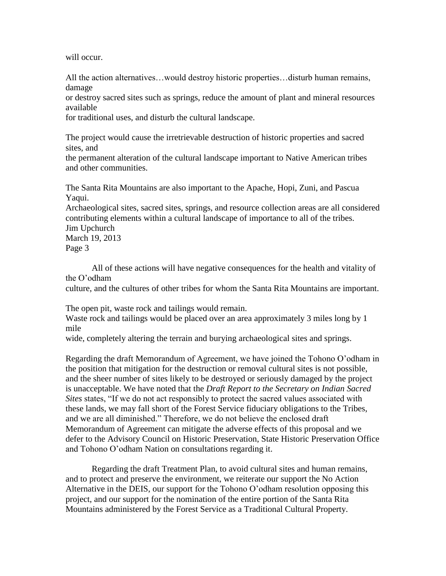will occur.

All the action alternatives…would destroy historic properties…disturb human remains, damage

or destroy sacred sites such as springs, reduce the amount of plant and mineral resources available

for traditional uses, and disturb the cultural landscape.

The project would cause the irretrievable destruction of historic properties and sacred sites, and

the permanent alteration of the cultural landscape important to Native American tribes and other communities.

The Santa Rita Mountains are also important to the Apache, Hopi, Zuni, and Pascua Yaqui.

Archaeological sites, sacred sites, springs, and resource collection areas are all considered contributing elements within a cultural landscape of importance to all of the tribes. Jim Upchurch

March 19, 2013 Page 3

 All of these actions will have negative consequences for the health and vitality of the O'odham

culture, and the cultures of other tribes for whom the Santa Rita Mountains are important.

The open pit, waste rock and tailings would remain.

Waste rock and tailings would be placed over an area approximately 3 miles long by 1 mile

wide, completely altering the terrain and burying archaeological sites and springs.

Regarding the draft Memorandum of Agreement, we have joined the Tohono O'odham in the position that mitigation for the destruction or removal cultural sites is not possible, and the sheer number of sites likely to be destroyed or seriously damaged by the project is unacceptable. We have noted that the *Draft Report to the Secretary on Indian Sacred Sites* states, "If we do not act responsibly to protect the sacred values associated with these lands, we may fall short of the Forest Service fiduciary obligations to the Tribes, and we are all diminished." Therefore, we do not believe the enclosed draft Memorandum of Agreement can mitigate the adverse effects of this proposal and we defer to the Advisory Council on Historic Preservation, State Historic Preservation Office and Tohono O'odham Nation on consultations regarding it.

 Regarding the draft Treatment Plan, to avoid cultural sites and human remains, and to protect and preserve the environment, we reiterate our support the No Action Alternative in the DEIS, our support for the Tohono O'odham resolution opposing this project, and our support for the nomination of the entire portion of the Santa Rita Mountains administered by the Forest Service as a Traditional Cultural Property.